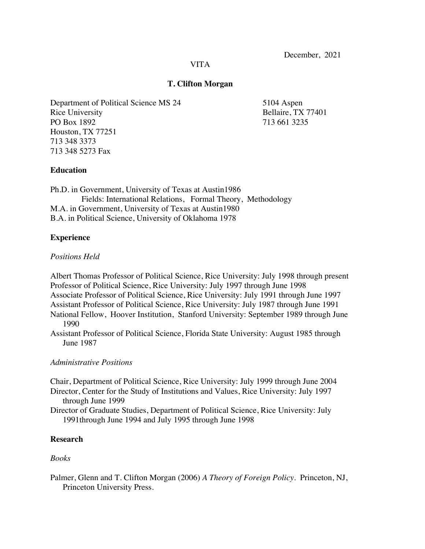December, 2021

# VITA

# **T. Clifton Morgan**

Department of Political Science MS 24 Rice University PO Box 1892 Houston, TX 77251 713 348 3373 713 348 5273 Fax

5104 Aspen Bellaire, TX 77401 713 661 3235

# **Education**

Ph.D. in Government, University of Texas at Austin1986 Fields: International Relations, Formal Theory, Methodology M.A. in Government, University of Texas at Austin1980 B.A. in Political Science, University of Oklahoma 1978

# **Experience**

## *Positions Held*

Albert Thomas Professor of Political Science, Rice University: July 1998 through present Professor of Political Science, Rice University: July 1997 through June 1998 Associate Professor of Political Science, Rice University: July 1991 through June 1997

Assistant Professor of Political Science, Rice University: July 1987 through June 1991

- National Fellow, Hoover Institution, Stanford University: September 1989 through June 1990
- Assistant Professor of Political Science, Florida State University: August 1985 through June 1987

# *Administrative Positions*

Chair, Department of Political Science, Rice University: July 1999 through June 2004 Director, Center for the Study of Institutions and Values, Rice University: July 1997 through June 1999

Director of Graduate Studies, Department of Political Science, Rice University: July 1991through June 1994 and July 1995 through June 1998

### **Research**

# *Books*

Palmer, Glenn and T. Clifton Morgan (2006) *A Theory of Foreign Policy*. Princeton, NJ, Princeton University Press.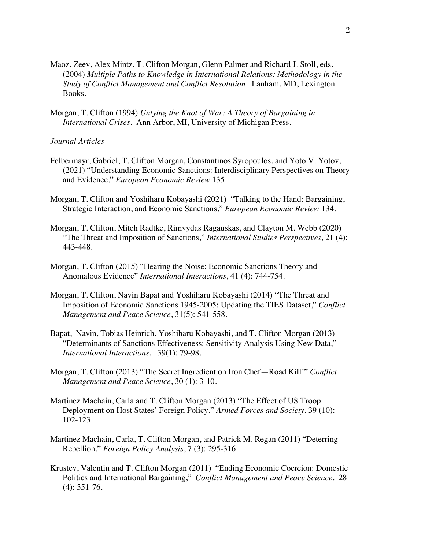- Maoz, Zeev, Alex Mintz, T. Clifton Morgan, Glenn Palmer and Richard J. Stoll, eds. (2004) *Multiple Paths to Knowledge in International Relations: Methodology in the Study of Conflict Management and Conflict Resolution*. Lanham, MD, Lexington Books.
- Morgan, T. Clifton (1994) *Untying the Knot of War: A Theory of Bargaining in International Crises*. Ann Arbor, MI, University of Michigan Press.

### *Journal Articles*

- and Evidence," *European Economic Review* 135. Felbermayr, Gabriel, T. Clifton Morgan, Constantinos Syropoulos, and Yoto V. Yotov, (2021) "Understanding Economic Sanctions: Interdisciplinary Perspectives on Theory
- Strategic Interaction, and Economic Sanctions," *European Economic Review* 134. Morgan, T. Clifton and Yoshiharu Kobayashi (2021) "Talking to the Hand: Bargaining,
- "The Threat and Imposition of Sanctions," *International Studies Perspectives*, 21 (4): Morgan, T. Clifton, Mitch Radtke, Rimvydas Ragauskas, and Clayton M. Webb (2020) 443-448.
- Morgan, T. Clifton (2015) "Hearing the Noise: Economic Sanctions Theory and Anomalous Evidence" *International Interactions*, 41 (4): 744-754.
- Morgan, T. Clifton, Navin Bapat and Yoshiharu Kobayashi (2014) "The Threat and Imposition of Economic Sanctions 1945-2005: Updating the TIES Dataset," *Conflict Management and Peace Science*, 31(5): 541-558.
- Bapat, Navin, Tobias Heinrich, Yoshiharu Kobayashi, and T. Clifton Morgan (2013) "Determinants of Sanctions Effectiveness: Sensitivity Analysis Using New Data," *International Interactions*, 39(1): 79-98.
- Morgan, T. Clifton (2013) "The Secret Ingredient on Iron Chef—Road Kill!" *Conflict Management and Peace Science*, 30 (1): 3-10.
- Martinez Machain, Carla and T. Clifton Morgan (2013) "The Effect of US Troop Deployment on Host States' Foreign Policy," *Armed Forces and Society*, 39 (10): 102-123.
- Martinez Machain, Carla, T. Clifton Morgan, and Patrick M. Regan (2011) "Deterring Rebellion," *Foreign Policy Analysis*, 7 (3): 295-316.
- Politics and International Bargaining," *Conflict Management and Peace Science*. 28 Krustev, Valentin and T. Clifton Morgan (2011) "Ending Economic Coercion: Domestic (4): 351-76.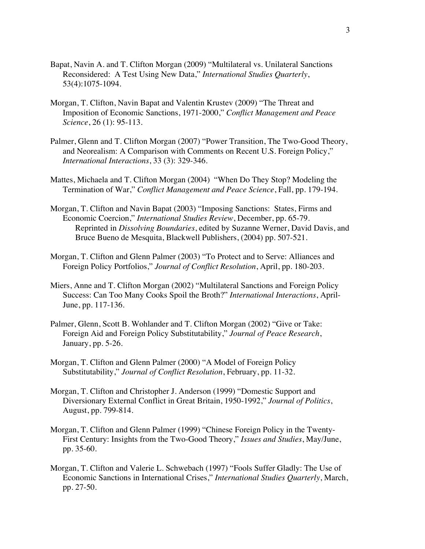- Bapat, Navin A. and T. Clifton Morgan (2009) "Multilateral vs. Unilateral Sanctions Reconsidered: A Test Using New Data," *International Studies Quarterly*, 53(4):1075-1094.
- *Science*, 26 (1): 95-113. Morgan, T. Clifton, Navin Bapat and Valentin Krustev (2009) "The Threat and Imposition of Economic Sanctions, 1971-2000," *Conflict Management and Peace*
- Palmer, Glenn and T. Clifton Morgan (2007) "Power Transition, The Two-Good Theory, and Neorealism: A Comparison with Comments on Recent U.S. Foreign Policy," *International Interactions*, 33 (3): 329-346.
- Mattes, Michaela and T. Clifton Morgan (2004) "When Do They Stop? Modeling the Termination of War," *Conflict Management and Peace Science*, Fall, pp. 179-194.
- Morgan, T. Clifton and Navin Bapat (2003) "Imposing Sanctions: States, Firms and Economic Coercion," *International Studies Review*, December, pp. 65-79. Reprinted in *Dissolving Boundaries*, edited by Suzanne Werner, David Davis, and Bruce Bueno de Mesquita, Blackwell Publishers, (2004) pp. 507-521.
- Morgan, T. Clifton and Glenn Palmer (2003) "To Protect and to Serve: Alliances and Foreign Policy Portfolios," *Journal of Conflict Resolution*, April, pp. 180-203.
- Miers, Anne and T. Clifton Morgan (2002) "Multilateral Sanctions and Foreign Policy Success: Can Too Many Cooks Spoil the Broth?" *International Interactions*, April-June, pp. 117-136.
- Palmer, Glenn, Scott B. Wohlander and T. Clifton Morgan (2002) "Give or Take: Foreign Aid and Foreign Policy Substitutability," *Journal of Peace Research*, January, pp. 5-26.
- Morgan, T. Clifton and Glenn Palmer (2000) "A Model of Foreign Policy Substitutability," *Journal of Conflict Resolution*, February, pp. 11-32.
- Morgan, T. Clifton and Christopher J. Anderson (1999) "Domestic Support and Diversionary External Conflict in Great Britain, 1950-1992," *Journal of Politics*, August, pp. 799-814.
- Morgan, T. Clifton and Glenn Palmer (1999) "Chinese Foreign Policy in the Twenty-First Century: Insights from the Two-Good Theory," *Issues and Studies*, May/June, pp. 35-60.
- Morgan, T. Clifton and Valerie L. Schwebach (1997) "Fools Suffer Gladly: The Use of Economic Sanctions in International Crises," *International Studies Quarterly*, March, pp. 27-50.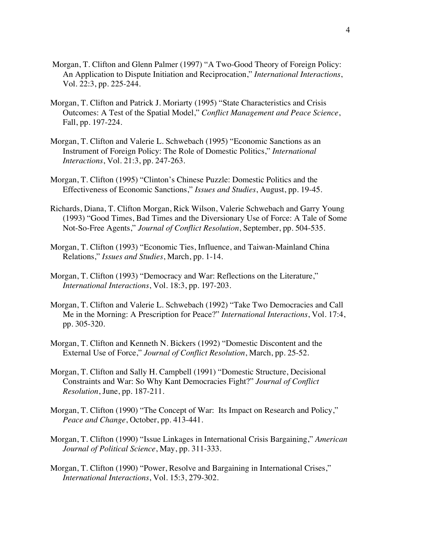- Morgan, T. Clifton and Glenn Palmer (1997) "A Two-Good Theory of Foreign Policy: An Application to Dispute Initiation and Reciprocation," *International Interactions*, Vol. 22:3, pp. 225-244.
- Morgan, T. Clifton and Patrick J. Moriarty (1995) "State Characteristics and Crisis Outcomes: A Test of the Spatial Model," *Conflict Management and Peace Science*, Fall, pp. 197-224.
- Morgan, T. Clifton and Valerie L. Schwebach (1995) "Economic Sanctions as an Instrument of Foreign Policy: The Role of Domestic Politics," *International Interactions*, Vol. 21:3, pp. 247-263.
- Morgan, T. Clifton (1995) "Clinton's Chinese Puzzle: Domestic Politics and the Effectiveness of Economic Sanctions," *Issues and Studies*, August, pp. 19-45.
- Richards, Diana, T. Clifton Morgan, Rick Wilson, Valerie Schwebach and Garry Young (1993) "Good Times, Bad Times and the Diversionary Use of Force: A Tale of Some Not-So-Free Agents," *Journal of Conflict Resolution*, September, pp. 504-535.
- Morgan, T. Clifton (1993) "Economic Ties, Influence, and Taiwan-Mainland China Relations," *Issues and Studies*, March, pp. 1-14.
- Morgan, T. Clifton (1993) "Democracy and War: Reflections on the Literature," *International Interactions*, Vol. 18:3, pp. 197-203.
- Morgan, T. Clifton and Valerie L. Schwebach (1992) "Take Two Democracies and Call Me in the Morning: A Prescription for Peace?" *International Interactions*, Vol. 17:4, pp. 305-320.
- Morgan, T. Clifton and Kenneth N. Bickers (1992) "Domestic Discontent and the External Use of Force," *Journal of Conflict Resolution*, March, pp. 25-52.
- Morgan, T. Clifton and Sally H. Campbell (1991) "Domestic Structure, Decisional Constraints and War: So Why Kant Democracies Fight?" *Journal of Conflict Resolution*, June, pp. 187-211.
- Morgan, T. Clifton (1990) "The Concept of War: Its Impact on Research and Policy," *Peace and Change*, October, pp. 413-441.
- Morgan, T. Clifton (1990) "Issue Linkages in International Crisis Bargaining," *American Journal of Political Science*, May, pp. 311-333.
- Morgan, T. Clifton (1990) "Power, Resolve and Bargaining in International Crises," *International Interactions*, Vol. 15:3, 279-302.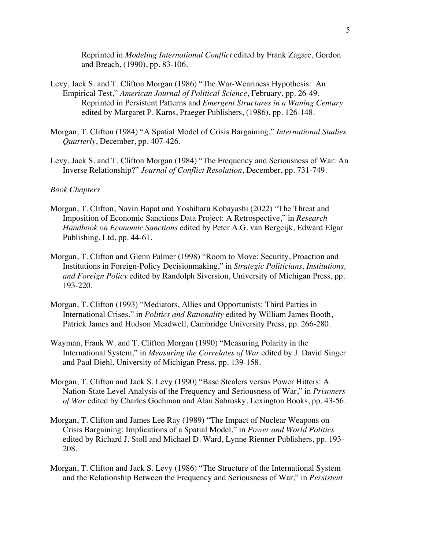Reprinted in *Modeling International Conflict* edited by Frank Zagare, Gordon and Breach, (1990), pp. 83-106.

- Levy, Jack S. and T. Clifton Morgan (1986) "The War-Weariness Hypothesis: An Empirical Test," *American Journal of Political Science*, February, pp. 26-49. Reprinted in Persistent Patterns and *Emergent Structures in a Waning Century* edited by Margaret P. Karns, Praeger Publishers, (1986), pp. 126-148.
- Morgan, T. Clifton (1984) "A Spatial Model of Crisis Bargaining," *International Studies Quarterly*, December, pp. 407-426.
- Levy, Jack S. and T. Clifton Morgan (1984) "The Frequency and Seriousness of War: An Inverse Relationship?" *Journal of Conflict Resolution*, December, pp. 731-749.

#### *Book Chapters*

- Morgan, T. Clifton, Navin Bapat and Yoshiharu Kobayashi (2022) "The Threat and Imposition of Economic Sanctions Data Project: A Retrospective," in *Research Handbook on Economic Sanctions* edited by Peter A.G. van Bergeijk, Edward Elgar Publishing, Ltd, pp. 44-61.
- Morgan, T. Clifton and Glenn Palmer (1998) "Room to Move: Security, Proaction and Institutions in Foreign-Policy Decisionmaking," in *Strategic Politicians, Institutions, and Foreign Policy* edited by Randolph Siversion, University of Michigan Press, pp. 193-220.
- Morgan, T. Clifton (1993) "Mediators, Allies and Opportunists: Third Parties in International Crises," in *Politics and Rationality* edited by William James Booth, Patrick James and Hudson Meadwell, Cambridge University Press, pp. 266-280.
- Wayman, Frank W. and T. Clifton Morgan (1990) "Measuring Polarity in the International System," in *Measuring the Correlates of War* edited by J. David Singer and Paul Diehl, University of Michigan Press, pp. 139-158.
- Morgan, T. Clifton and Jack S. Levy (1990) "Base Stealers versus Power Hitters: A Nation-State Level Analysis of the Frequency and Seriousness of War," in *Prisoners of War* edited by Charles Gochman and Alan Sabrosky, Lexington Books, pp. 43-56.
- Morgan, T. Clifton and James Lee Ray (1989) "The Impact of Nuclear Weapons on Crisis Bargaining: Implications of a Spatial Model," in *Power and World Politics*  edited by Richard J. Stoll and Michael D. Ward, Lynne Rienner Publishers, pp. 193- 208.
- Morgan, T. Clifton and Jack S. Levy (1986) "The Structure of the International System and the Relationship Between the Frequency and Seriousness of War," in *Persistent*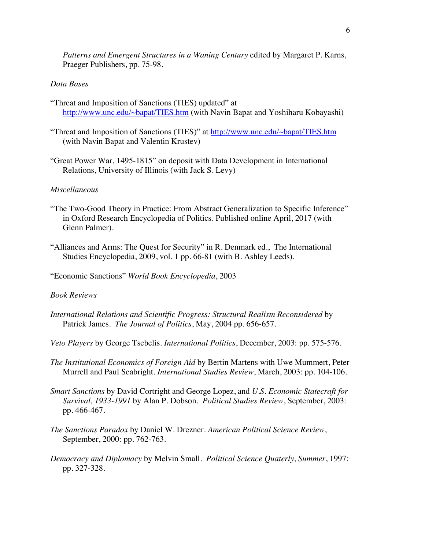*Patterns and Emergent Structures in a Waning Century* edited by Margaret P. Karns, Praeger Publishers, pp. 75-98.

## *Data Bases*

- "Threat and Imposition of Sanctions (TIES) updated" at <http://www.unc.edu/~bapat/TIES.htm>(with Navin Bapat and Yoshiharu Kobayashi)
- "Threat and Imposition of Sanctions (TIES)" at<http://www.unc.edu/~bapat/TIES.htm> (with Navin Bapat and Valentin Krustev)
- "Great Power War, 1495-1815" on deposit with Data Development in International Relations, University of Illinois (with Jack S. Levy)

### *Miscellaneous*

- "The Two-Good Theory in Practice: From Abstract Generalization to Specific Inference" in Oxford Research Encyclopedia of Politics. Published online April, 2017 (with Glenn Palmer).
- "Alliances and Arms: The Quest for Security" in R. Denmark ed., The International Studies Encyclopedia, 2009, vol. 1 pp. 66-81 (with B. Ashley Leeds).

"Economic Sanctions" *World Book Encyclopedia*, 2003

#### *Book Reviews*

*International Relations and Scientific Progress: Structural Realism Reconsidered* by Patrick James. *The Journal of Politics*, May, 2004 pp. 656-657.

*Veto Players* by George Tsebelis. *International Politics*, December, 2003: pp. 575-576.

- *The Institutional Economics of Foreign Aid* by Bertin Martens with Uwe Mummert, Peter Murrell and Paul Seabright. *International Studies Review*, March, 2003: pp. 104-106.
- *Smart Sanctions* by David Cortright and George Lopez, and *U.S. Economic Statecraft for Survival, 1933-1991* by Alan P. Dobson. *Political Studies Review*, September, 2003: pp. 466-467.
- *The Sanctions Paradox* by Daniel W. Drezner. *American Political Science Review*, September, 2000: pp. 762-763.
- *Democracy and Diplomacy* by Melvin Small. *Political Science Quaterly, Summer*, 1997: pp. 327-328.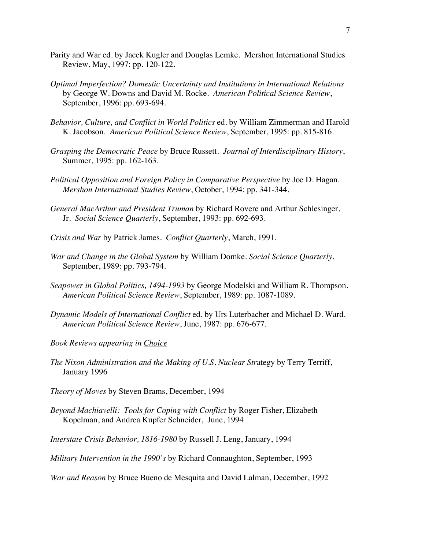- Parity and War ed. by Jacek Kugler and Douglas Lemke. Mershon International Studies Review, May, 1997: pp. 120-122.
- *Optimal Imperfection? Domestic Uncertainty and Institutions in International Relations* by George W. Downs and David M. Rocke. *American Political Science Review*, September, 1996: pp. 693-694.
- *Behavior, Culture, and Conflict in World Politics* ed. by William Zimmerman and Harold K. Jacobson. *American Political Science Review*, September, 1995: pp. 815-816.
- *Grasping the Democratic Peace* by Bruce Russett. *Journal of Interdisciplinary History*, Summer, 1995: pp. 162-163.
- *Political Opposition and Foreign Policy in Comparative Perspective* by Joe D. Hagan. *Mershon International Studies Review*, October, 1994: pp. 341-344.
- *General MacArthur and President Truman* by Richard Rovere and Arthur Schlesinger, Jr. *Social Science Quarterly*, September, 1993: pp. 692-693.
- *Crisis and War* by Patrick James. *Conflict Quarterly*, March, 1991.
- *War and Change in the Global System* by William Domke. *Social Science Quarterly*, September, 1989: pp. 793-794.
- *Seapower in Global Politics, 1494-1993* by George Modelski and William R. Thompson. *American Political Science Review*, September, 1989: pp. 1087-1089.
- *Dynamic Models of International Conflict* ed. by Urs Luterbacher and Michael D. Ward. *American Political Science Review*, June, 1987: pp. 676-677.
- *Book Reviews appearing in Choice*
- *The Nixon Administration and the Making of U.S. Nuclear Str*ategy by Terry Terriff, January 1996
- *Theory of Moves* by Steven Brams, December, 1994
- *Beyond Machiavelli: Tools for Coping with Conflict* by Roger Fisher, Elizabeth Kopelman, and Andrea Kupfer Schneider, June, 1994
- *Interstate Crisis Behavior, 1816-1980* by Russell J. Leng, January, 1994
- *Military Intervention in the 1990's* by Richard Connaughton, September, 1993

*War and Reason* by Bruce Bueno de Mesquita and David Lalman, December, 1992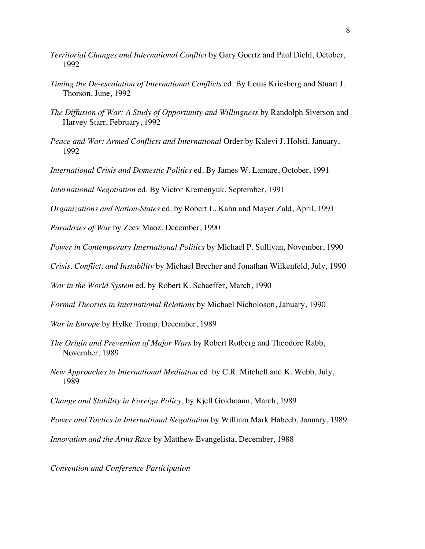- *Territorial Changes and International Conflict* by Gary Goertz and Paul Diehl, October, 1992
- *Timing the De-escalation of International Conflicts* ed. By Louis Kriesberg and Stuart J. Thorson, June, 1992
- *The Diffusion of War: A Study of Opportunity and Willingness* by Randolph Siverson and Harvey Starr, February, 1992
- *Peace and War: Armed Conflicts and International* Order by Kalevi J. Holsti, January, 1992
- *International Crisis and Domestic Politics* ed. By James W. Lamare, October, 1991

*International Negotiation* ed. By Victor Kremenyuk, September, 1991

*Organizations and Nation-States* ed. by Robert L. Kahn and Mayer Zald, April, 1991

*Paradoxes of War* by Zeev Maoz, December, 1990

*Power in Contemporary International Politics* by Michael P. Sullivan, November, 1990

*Crisis, Conflict, and Instability* by Michael Brecher and Jonathan Wilkenfeld, July, 1990

*War in the World System* ed. by Robert K. Schaeffer, March, 1990

*Formal Theories in International Relations* by Michael Nicholoson, January, 1990

*War in Europe* by Hylke Tromp, December, 1989

- *The Origin and Prevention of Major Wars* by Robert Rotberg and Theodore Rabb, November, 1989
- *New Approaches to International Mediation* ed. by C.R. Mitchell and K. Webb, July, 1989

*Change and Stability in Foreign Policy*, by Kjell Goldmann, March, 1989

*Power and Tactics in International Negotiation* by William Mark Habeeb, January, 1989

*Innovation and the Arms Race* by Matthew Evangelista, December, 1988

*Convention and Conference Participation*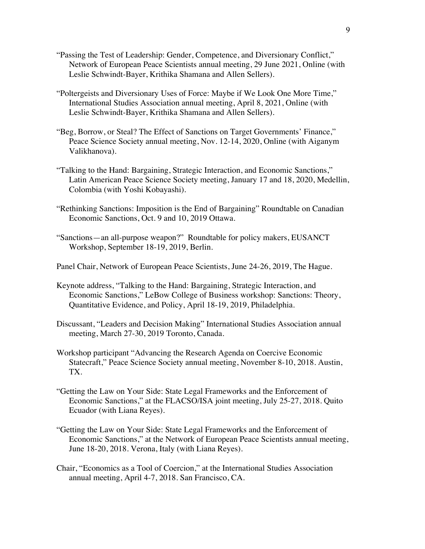- "Passing the Test of Leadership: Gender, Competence, and Diversionary Conflict," Network of European Peace Scientists annual meeting, 29 June 2021, Online (with Leslie Schwindt-Bayer, Krithika Shamana and Allen Sellers).
- "Poltergeists and Diversionary Uses of Force: Maybe if We Look One More Time," International Studies Association annual meeting, April 8, 2021, Online (with Leslie Schwindt-Bayer, Krithika Shamana and Allen Sellers).
- "Beg, Borrow, or Steal? The Effect of Sanctions on Target Governments' Finance," Peace Science Society annual meeting, Nov. 12-14, 2020, Online (with Aiganym Valikhanova).
- "Talking to the Hand: Bargaining, Strategic Interaction, and Economic Sanctions," Latin American Peace Science Society meeting, January 17 and 18, 2020, Medellin, Colombia (with Yoshi Kobayashi).
- Economic Sanctions, Oct. 9 and 10, 2019 Ottawa. "Rethinking Sanctions: Imposition is the End of Bargaining" Roundtable on Canadian
- "Sanctions—an all-purpose weapon?" Roundtable for policy makers, EUSANCT Workshop, September 18-19, 2019, Berlin.
- Panel Chair, Network of European Peace Scientists, June 24-26, 2019, The Hague.
- Keynote address, "Talking to the Hand: Bargaining, Strategic Interaction, and Economic Sanctions," LeBow College of Business workshop: Sanctions: Theory, Quantitative Evidence, and Policy, April 18-19, 2019, Philadelphia.
- Discussant, "Leaders and Decision Making" International Studies Association annual meeting, March 27-30, 2019 Toronto, Canada.
- Workshop participant "Advancing the Research Agenda on Coercive Economic Statecraft," Peace Science Society annual meeting, November 8-10, 2018. Austin, TX.
- Ecuador (with Liana Reyes). "Getting the Law on Your Side: State Legal Frameworks and the Enforcement of Economic Sanctions," at the FLACSO/ISA joint meeting, July 25-27, 2018. Quito
- "Getting the Law on Your Side: State Legal Frameworks and the Enforcement of Economic Sanctions," at the Network of European Peace Scientists annual meeting, June 18-20, 2018. Verona, Italy (with Liana Reyes).
- Chair, "Economics as a Tool of Coercion," at the International Studies Association annual meeting, April 4-7, 2018. San Francisco, CA.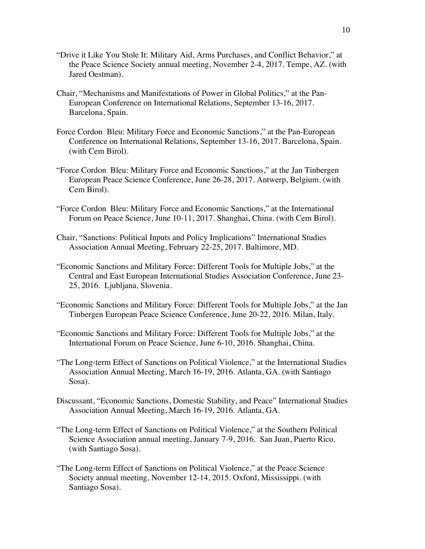- "Drive it Like You Stole It: Military Aid, Arms Purchases, and Conflict Behavior," at the Peace Science Society annual meeting, November 2-4, 2017. Tempe, AZ. (with Jared Oestman).
- Chair, "Mechanisms and Manifestations of Power in Global Politics," at the Pan-European Conference on International Relations, September 13-16, 2017. Barcelona, Spain.
- Force Cordon Bleu: Military Force and Economic Sanctions," at the Pan-European Conference on International Relations, September 13-16, 2017. Barcelona, Spain. (with Cem Birol).
- "Force Cordon Bleu: Military Force and Economic Sanctions," at the Jan Tinbergen European Peace Science Conference, June 26-28, 2017. Antwerp, Belgium. (with Cem Birol).
- "Force Cordon Bleu: Military Force and Economic Sanctions," at the International Forum on Peace Science, June 10-11, 2017. Shanghai, China. (with Cem Birol).
- Chair, "Sanctions: Political Inputs and Policy Implications" International Studies Association Annual Meeting, February 22-25, 2017. Baltimore, MD.
- 25, 2016. Ljubljana, Slovenia. "Economic Sanctions and Military Force: Different Tools for Multiple Jobs," at the Central and East European International Studies Association Conference, June 23-
- "Economic Sanctions and Military Force: Different Tools for Multiple Jobs," at the Jan Tinbergen European Peace Science Conference, June 20-22, 2016. Milan, Italy.
- "Economic Sanctions and Military Force: Different Tools for Multiple Jobs," at the International Forum on Peace Science, June 6-10, 2016. Shanghai, China.
- "The Long-term Effect of Sanctions on Political Violence," at the International Studies Association Annual Meeting, March 16-19, 2016. Atlanta, GA. (with Santiago Sosa).
- Discussant, "Economic Sanctions, Domestic Stability, and Peace" International Studies Association Annual Meeting, March 16-19, 2016. Atlanta, GA.
- "The Long-term Effect of Sanctions on Political Violence," at the Southern Political Science Association annual meeting, January 7-9, 2016. San Juan, Puerto Rico. (with Santiago Sosa).
- "The Long-term Effect of Sanctions on Political Violence," at the Peace Science Society annual meeting, November 12-14, 2015. Oxford, Mississippi. (with Santiago Sosa).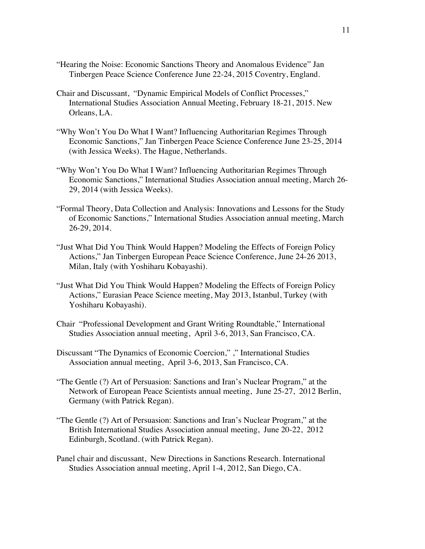- "Hearing the Noise: Economic Sanctions Theory and Anomalous Evidence" Jan Tinbergen Peace Science Conference June 22-24, 2015 Coventry, England.
- Chair and Discussant, "Dynamic Empirical Models of Conflict Processes," International Studies Association Annual Meeting, February 18-21, 2015. New Orleans, LA.
- "Why Won't You Do What I Want? Influencing Authoritarian Regimes Through Economic Sanctions," Jan Tinbergen Peace Science Conference June 23-25, 2014 (with Jessica Weeks). The Hague, Netherlands.
- "Why Won't You Do What I Want? Influencing Authoritarian Regimes Through Economic Sanctions," International Studies Association annual meeting, March 26- 29, 2014 (with Jessica Weeks).
- "Formal Theory, Data Collection and Analysis: Innovations and Lessons for the Study of Economic Sanctions," International Studies Association annual meeting, March 26-29, 2014.
- "Just What Did You Think Would Happen? Modeling the Effects of Foreign Policy Actions," Jan Tinbergen European Peace Science Conference, June 24-26 2013, Milan, Italy (with Yoshiharu Kobayashi).
- "Just What Did You Think Would Happen? Modeling the Effects of Foreign Policy Actions," Eurasian Peace Science meeting, May 2013, Istanbul, Turkey (with Yoshiharu Kobayashi).
- Chair "Professional Development and Grant Writing Roundtable," International Studies Association annual meeting, April 3-6, 2013, San Francisco, CA.
- Discussant "The Dynamics of Economic Coercion," ," International Studies Association annual meeting, April 3-6, 2013, San Francisco, CA.
- "The Gentle (?) Art of Persuasion: Sanctions and Iran's Nuclear Program," at the Network of European Peace Scientists annual meeting, June 25-27, 2012 Berlin, Germany (with Patrick Regan).
- "The Gentle (?) Art of Persuasion: Sanctions and Iran's Nuclear Program," at the British International Studies Association annual meeting, June 20-22, 2012 Edinburgh, Scotland. (with Patrick Regan).
- Panel chair and discussant, New Directions in Sanctions Research. International Studies Association annual meeting, April 1-4, 2012, San Diego, CA.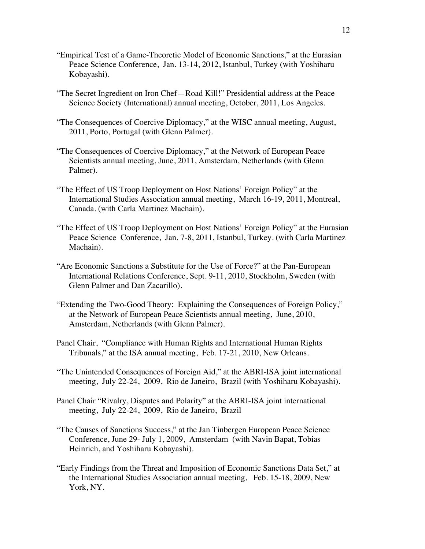- "Empirical Test of a Game-Theoretic Model of Economic Sanctions," at the Eurasian Peace Science Conference, Jan. 13-14, 2012, Istanbul, Turkey (with Yoshiharu Kobayashi).
- "The Secret Ingredient on Iron Chef—Road Kill!" Presidential address at the Peace Science Society (International) annual meeting, October, 2011, Los Angeles.
- "The Consequences of Coercive Diplomacy," at the WISC annual meeting, August, 2011, Porto, Portugal (with Glenn Palmer).
- "The Consequences of Coercive Diplomacy," at the Network of European Peace Scientists annual meeting, June, 2011, Amsterdam, Netherlands (with Glenn Palmer).
- "The Effect of US Troop Deployment on Host Nations' Foreign Policy" at the International Studies Association annual meeting, March 16-19, 2011, Montreal, Canada. (with Carla Martinez Machain).
- "The Effect of US Troop Deployment on Host Nations' Foreign Policy" at the Eurasian Peace Science Conference, Jan. 7-8, 2011, Istanbul, Turkey. (with Carla Martinez Machain).
- "Are Economic Sanctions a Substitute for the Use of Force?" at the Pan-European International Relations Conference, Sept. 9-11, 2010, Stockholm, Sweden (with Glenn Palmer and Dan Zacarillo).
- "Extending the Two-Good Theory: Explaining the Consequences of Foreign Policy," at the Network of European Peace Scientists annual meeting, June, 2010, Amsterdam, Netherlands (with Glenn Palmer).
- Panel Chair, "Compliance with Human Rights and International Human Rights Tribunals," at the ISA annual meeting, Feb. 17-21, 2010, New Orleans.
- "The Unintended Consequences of Foreign Aid," at the ABRI-ISA joint international meeting, July 22-24, 2009, Rio de Janeiro, Brazil (with Yoshiharu Kobayashi).
- Panel Chair "Rivalry, Disputes and Polarity" at the ABRI-ISA joint international meeting, July 22-24, 2009, Rio de Janeiro, Brazil
- "The Causes of Sanctions Success," at the Jan Tinbergen European Peace Science Conference, June 29- July 1, 2009, Amsterdam (with Navin Bapat, Tobias Heinrich, and Yoshiharu Kobayashi).
- the International Studies Association annual meeting, Feb. 15-18, 2009, New "Early Findings from the Threat and Imposition of Economic Sanctions Data Set," at York, NY.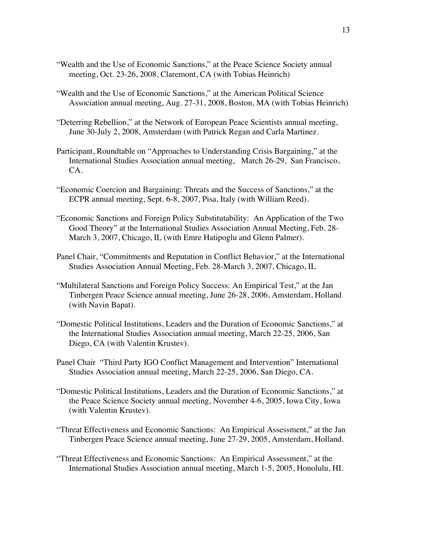- "Wealth and the Use of Economic Sanctions," at the Peace Science Society annual meeting, Oct. 23-26, 2008, Claremont, CA (with Tobias Heinrich)
- "Wealth and the Use of Economic Sanctions," at the American Political Science Association annual meeting, Aug. 27-31, 2008, Boston, MA (with Tobias Heinrich)
- "Deterring Rebellion," at the Network of European Peace Scientists annual meeting, June 30-July 2, 2008, Amsterdam (with Patrick Regan and Carla Martinez.
- Participant, Roundtable on "Approaches to Understanding Crisis Bargaining," at the International Studies Association annual meeting, March 26-29, San Francisco, CA.
- "Economic Coercion and Bargaining: Threats and the Success of Sanctions," at the ECPR annual meeting, Sept. 6-8, 2007, Pisa, Italy (with William Reed).
- March 3, 2007, Chicago, IL (with Emre Hatipoglu and Glenn Palmer). "Economic Sanctions and Foreign Policy Substitutability: An Application of the Two Good Theory" at the International Studies Association Annual Meeting, Feb. 28-
- Panel Chair, "Commitments and Reputation in Conflict Behavior," at the International Studies Association Annual Meeting, Feb. 28-March 3, 2007, Chicago, IL
- "Multilateral Sanctions and Foreign Policy Success: An Empirical Test," at the Jan Tinbergen Peace Science annual meeting, June 26-28, 2006, Amsterdam, Holland (with Navin Bapat).
- "Domestic Political Institutions, Leaders and the Duration of Economic Sanctions," at the International Studies Association annual meeting, March 22-25, 2006, San Diego, CA (with Valentin Krustev).
- Panel Chair "Third Party IGO Conflict Management and Intervention" International Studies Association annual meeting, March 22-25, 2006, San Diego, CA.
- "Domestic Political Institutions, Leaders and the Duration of Economic Sanctions," at the Peace Science Society annual meeting, November 4-6, 2005, Iowa City, Iowa (with Valentin Krustev).
- "Threat Effectiveness and Economic Sanctions: An Empirical Assessment," at the Jan Tinbergen Peace Science annual meeting, June 27-29, 2005, Amsterdam, Holland.
- "Threat Effectiveness and Economic Sanctions: An Empirical Assessment," at the International Studies Association annual meeting, March 1-5, 2005, Honolulu, HI.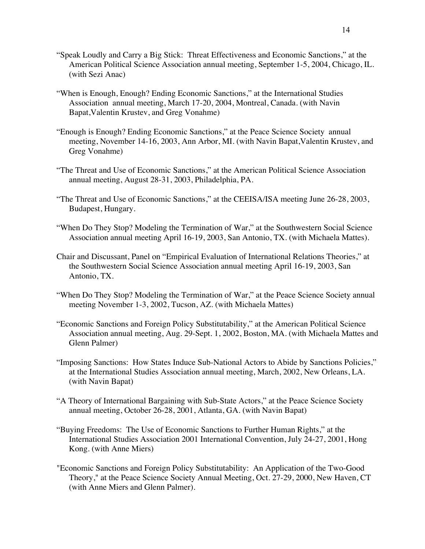- "Speak Loudly and Carry a Big Stick: Threat Effectiveness and Economic Sanctions," at the American Political Science Association annual meeting, September 1-5, 2004, Chicago, IL. (with Sezi Anac)
- "When is Enough, Enough? Ending Economic Sanctions," at the International Studies Association annual meeting, March 17-20, 2004, Montreal, Canada. (with Navin Bapat,Valentin Krustev, and Greg Vonahme)
- "Enough is Enough? Ending Economic Sanctions," at the Peace Science Society annual meeting, November 14-16, 2003, Ann Arbor, MI. (with Navin Bapat,Valentin Krustev, and Greg Vonahme)
- "The Threat and Use of Economic Sanctions," at the American Political Science Association annual meeting, August 28-31, 2003, Philadelphia, PA.
- "The Threat and Use of Economic Sanctions," at the CEEISA/ISA meeting June 26-28, 2003, Budapest, Hungary.
- "When Do They Stop? Modeling the Termination of War," at the Southwestern Social Science Association annual meeting April 16-19, 2003, San Antonio, TX. (with Michaela Mattes).
- Chair and Discussant, Panel on "Empirical Evaluation of International Relations Theories," at the Southwestern Social Science Association annual meeting April 16-19, 2003, San Antonio, TX.
- "When Do They Stop? Modeling the Termination of War," at the Peace Science Society annual meeting November 1-3, 2002, Tucson, AZ. (with Michaela Mattes)
- "Economic Sanctions and Foreign Policy Substitutability," at the American Political Science Association annual meeting, Aug. 29-Sept. 1, 2002, Boston, MA. (with Michaela Mattes and Glenn Palmer)
- "Imposing Sanctions: How States Induce Sub-National Actors to Abide by Sanctions Policies," at the International Studies Association annual meeting, March, 2002, New Orleans, LA. (with Navin Bapat)
- "A Theory of International Bargaining with Sub-State Actors," at the Peace Science Society annual meeting, October 26-28, 2001, Atlanta, GA. (with Navin Bapat)
- "Buying Freedoms: The Use of Economic Sanctions to Further Human Rights," at the International Studies Association 2001 International Convention, July 24-27, 2001, Hong Kong. (with Anne Miers)
- "Economic Sanctions and Foreign Policy Substitutability: An Application of the Two-Good Theory," at the Peace Science Society Annual Meeting, Oct. 27-29, 2000, New Haven, CT (with Anne Miers and Glenn Palmer).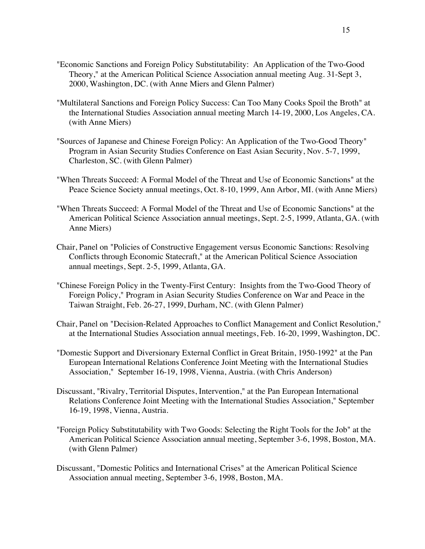- "Economic Sanctions and Foreign Policy Substitutability: An Application of the Two-Good Theory," at the American Political Science Association annual meeting Aug. 31-Sept 3, 2000, Washington, DC. (with Anne Miers and Glenn Palmer)
- "Multilateral Sanctions and Foreign Policy Success: Can Too Many Cooks Spoil the Broth" at the International Studies Association annual meeting March 14-19, 2000, Los Angeles, CA. (with Anne Miers)
- "Sources of Japanese and Chinese Foreign Policy: An Application of the Two-Good Theory" Program in Asian Security Studies Conference on East Asian Security, Nov. 5-7, 1999, Charleston, SC. (with Glenn Palmer)
- "When Threats Succeed: A Formal Model of the Threat and Use of Economic Sanctions" at the Peace Science Society annual meetings, Oct. 8-10, 1999, Ann Arbor, MI. (with Anne Miers)
- "When Threats Succeed: A Formal Model of the Threat and Use of Economic Sanctions" at the American Political Science Association annual meetings, Sept. 2-5, 1999, Atlanta, GA. (with Anne Miers)
- Chair, Panel on "Policies of Constructive Engagement versus Economic Sanctions: Resolving Conflicts through Economic Statecraft," at the American Political Science Association annual meetings, Sept. 2-5, 1999, Atlanta, GA.
- "Chinese Foreign Policy in the Twenty-First Century: Insights from the Two-Good Theory of Foreign Policy," Program in Asian Security Studies Conference on War and Peace in the Taiwan Straight, Feb. 26-27, 1999, Durham, NC. (with Glenn Palmer)
- Chair, Panel on "Decision-Related Approaches to Conflict Management and Conlict Resolution," at the International Studies Association annual meetings, Feb. 16-20, 1999, Washington, DC.
- Association," September 16-19, 1998, Vienna, Austria. (with Chris Anderson) "Domestic Support and Diversionary External Conflict in Great Britain, 1950-1992" at the Pan European International Relations Conference Joint Meeting with the International Studies
- Discussant, "Rivalry, Territorial Disputes, Intervention," at the Pan European International Relations Conference Joint Meeting with the International Studies Association," September 16-19, 1998, Vienna, Austria.
- "Foreign Policy Substitutability with Two Goods: Selecting the Right Tools for the Job" at the American Political Science Association annual meeting, September 3-6, 1998, Boston, MA. (with Glenn Palmer)
- Discussant, "Domestic Politics and International Crises" at the American Political Science Association annual meeting, September 3-6, 1998, Boston, MA.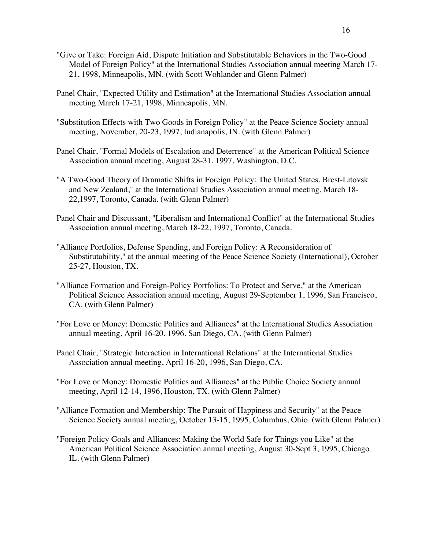- "Give or Take: Foreign Aid, Dispute Initiation and Substitutable Behaviors in the Two-Good Model of Foreign Policy" at the International Studies Association annual meeting March 17- 21, 1998, Minneapolis, MN. (with Scott Wohlander and Glenn Palmer)
- Panel Chair, "Expected Utility and Estimation" at the International Studies Association annual meeting March 17-21, 1998, Minneapolis, MN.
- "Substitution Effects with Two Goods in Foreign Policy" at the Peace Science Society annual meeting, November, 20-23, 1997, Indianapolis, IN. (with Glenn Palmer)
- Panel Chair, "Formal Models of Escalation and Deterrence" at the American Political Science Association annual meeting, August 28-31, 1997, Washington, D.C.
- "A Two-Good Theory of Dramatic Shifts in Foreign Policy: The United States, Brest-Litovsk and New Zealand," at the International Studies Association annual meeting, March 18- 22,1997, Toronto, Canada. (with Glenn Palmer)
- Panel Chair and Discussant, "Liberalism and International Conflict" at the International Studies Association annual meeting, March 18-22, 1997, Toronto, Canada.
- "Alliance Portfolios, Defense Spending, and Foreign Policy: A Reconsideration of Substitutability," at the annual meeting of the Peace Science Society (International), October 25-27, Houston, TX.
- "Alliance Formation and Foreign-Policy Portfolios: To Protect and Serve," at the American Political Science Association annual meeting, August 29-September 1, 1996, San Francisco, CA. (with Glenn Palmer)
- "For Love or Money: Domestic Politics and Alliances" at the International Studies Association annual meeting, April 16-20, 1996, San Diego, CA. (with Glenn Palmer)
- Panel Chair, "Strategic Interaction in International Relations" at the International Studies Association annual meeting, April 16-20, 1996, San Diego, CA.
- "For Love or Money: Domestic Politics and Alliances" at the Public Choice Society annual meeting, April 12-14, 1996, Houston, TX. (with Glenn Palmer)
- "Alliance Formation and Membership: The Pursuit of Happiness and Security" at the Peace Science Society annual meeting, October 13-15, 1995, Columbus, Ohio. (with Glenn Palmer)
- "Foreign Policy Goals and Alliances: Making the World Safe for Things you Like" at the American Political Science Association annual meeting, August 30-Sept 3, 1995, Chicago IL. (with Glenn Palmer)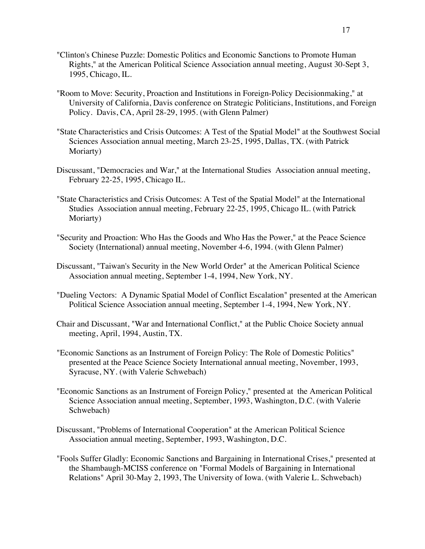- "Clinton's Chinese Puzzle: Domestic Politics and Economic Sanctions to Promote Human Rights," at the American Political Science Association annual meeting, August 30-Sept 3, 1995, Chicago, IL.
- "Room to Move: Security, Proaction and Institutions in Foreign-Policy Decisionmaking," at University of California, Davis conference on Strategic Politicians, Institutions, and Foreign Policy. Davis, CA, April 28-29, 1995. (with Glenn Palmer)
- "State Characteristics and Crisis Outcomes: A Test of the Spatial Model" at the Southwest Social Sciences Association annual meeting, March 23-25, 1995, Dallas, TX. (with Patrick Moriarty)
- Discussant, "Democracies and War," at the International Studies Association annual meeting, February 22-25, 1995, Chicago IL.
- "State Characteristics and Crisis Outcomes: A Test of the Spatial Model" at the International Studies Association annual meeting, February 22-25, 1995, Chicago IL. (with Patrick Moriarty)
- "Security and Proaction: Who Has the Goods and Who Has the Power," at the Peace Science Society (International) annual meeting, November 4-6, 1994. (with Glenn Palmer)
- Discussant, "Taiwan's Security in the New World Order" at the American Political Science Association annual meeting, September 1-4, 1994, New York, NY.
- Political Science Association annual meeting, September 1-4, 1994, New York, NY. "Dueling Vectors: A Dynamic Spatial Model of Conflict Escalation" presented at the American
- Chair and Discussant, "War and International Conflict," at the Public Choice Society annual meeting, April, 1994, Austin, TX.
- "Economic Sanctions as an Instrument of Foreign Policy: The Role of Domestic Politics" presented at the Peace Science Society International annual meeting, November, 1993, Syracuse, NY. (with Valerie Schwebach)
- "Economic Sanctions as an Instrument of Foreign Policy," presented at the American Political Science Association annual meeting, September, 1993, Washington, D.C. (with Valerie Schwebach)
- Discussant, "Problems of International Cooperation" at the American Political Science Association annual meeting, September, 1993, Washington, D.C.
- "Fools Suffer Gladly: Economic Sanctions and Bargaining in International Crises," presented at the Shambaugh-MCISS conference on "Formal Models of Bargaining in International Relations" April 30-May 2, 1993, The University of Iowa. (with Valerie L. Schwebach)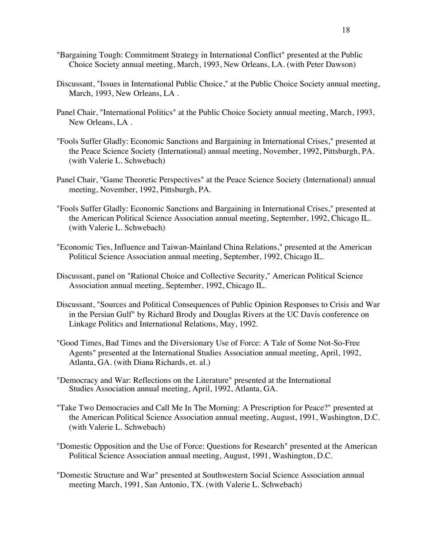- "Bargaining Tough: Commitment Strategy in International Conflict" presented at the Public Choice Society annual meeting, March, 1993, New Orleans, LA. (with Peter Dawson)
- Discussant, "Issues in International Public Choice," at the Public Choice Society annual meeting, March, 1993, New Orleans, LA .
- Panel Chair, "International Politics" at the Public Choice Society annual meeting, March, 1993, New Orleans, LA .
- "Fools Suffer Gladly: Economic Sanctions and Bargaining in International Crises," presented at the Peace Science Society (International) annual meeting, November, 1992, Pittsburgh, PA. (with Valerie L. Schwebach)
- Panel Chair, "Game Theoretic Perspectives" at the Peace Science Society (International) annual meeting, November, 1992, Pittsburgh, PA.
- "Fools Suffer Gladly: Economic Sanctions and Bargaining in International Crises," presented at the American Political Science Association annual meeting, September, 1992, Chicago IL. (with Valerie L. Schwebach)
- "Economic Ties, Influence and Taiwan-Mainland China Relations," presented at the American Political Science Association annual meeting, September, 1992, Chicago IL.
- Discussant, panel on "Rational Choice and Collective Security," American Political Science Association annual meeting, September, 1992, Chicago IL.
- Discussant, "Sources and Political Consequences of Public Opinion Responses to Crisis and War in the Persian Gulf" by Richard Brody and Douglas Rivers at the UC Davis conference on Linkage Politics and International Relations, May, 1992.
- "Good Times, Bad Times and the Diversionary Use of Force: A Tale of Some Not-So-Free Agents" presented at the International Studies Association annual meeting, April, 1992, Atlanta, GA. (with Diana Richards, et. al.)
- "Democracy and War: Reflections on the Literature" presented at the International Studies Association annual meeting, April, 1992, Atlanta, GA.
- "Take Two Democracies and Call Me In The Morning: A Prescription for Peace?" presented at the American Political Science Association annual meeting, August, 1991, Washington, D.C. (with Valerie L. Schwebach)
- "Domestic Opposition and the Use of Force: Questions for Research" presented at the American Political Science Association annual meeting, August, 1991, Washington, D.C.
- "Domestic Structure and War" presented at Southwestern Social Science Association annual meeting March, 1991, San Antonio, TX. (with Valerie L. Schwebach)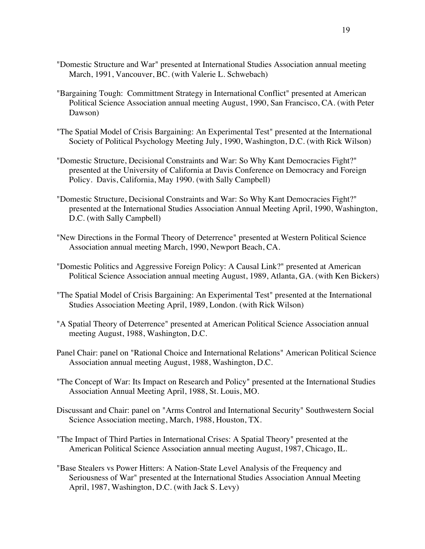- "Domestic Structure and War" presented at International Studies Association annual meeting March, 1991, Vancouver, BC. (with Valerie L. Schwebach)
- "Bargaining Tough: Committment Strategy in International Conflict" presented at American Political Science Association annual meeting August, 1990, San Francisco, CA. (with Peter Dawson)
- "The Spatial Model of Crisis Bargaining: An Experimental Test" presented at the International Society of Political Psychology Meeting July, 1990, Washington, D.C. (with Rick Wilson)
- "Domestic Structure, Decisional Constraints and War: So Why Kant Democracies Fight?" presented at the University of California at Davis Conference on Democracy and Foreign Policy. Davis, California, May 1990. (with Sally Campbell)
- "Domestic Structure, Decisional Constraints and War: So Why Kant Democracies Fight?" presented at the International Studies Association Annual Meeting April, 1990, Washington, D.C. (with Sally Campbell)
- "New Directions in the Formal Theory of Deterrence" presented at Western Political Science Association annual meeting March, 1990, Newport Beach, CA.
- "Domestic Politics and Aggressive Foreign Policy: A Causal Link?" presented at American Political Science Association annual meeting August, 1989, Atlanta, GA. (with Ken Bickers)
- "The Spatial Model of Crisis Bargaining: An Experimental Test" presented at the International Studies Association Meeting April, 1989, London. (with Rick Wilson)
- "A Spatial Theory of Deterrence" presented at American Political Science Association annual meeting August, 1988, Washington, D.C.
- Panel Chair: panel on "Rational Choice and International Relations" American Political Science Association annual meeting August, 1988, Washington, D.C.
- "The Concept of War: Its Impact on Research and Policy" presented at the International Studies Association Annual Meeting April, 1988, St. Louis, MO.
- Discussant and Chair: panel on "Arms Control and International Security" Southwestern Social Science Association meeting, March, 1988, Houston, TX.
- "The Impact of Third Parties in International Crises: A Spatial Theory" presented at the American Political Science Association annual meeting August, 1987, Chicago, IL.
- "Base Stealers vs Power Hitters: A Nation-State Level Analysis of the Frequency and Seriousness of War" presented at the International Studies Association Annual Meeting April, 1987, Washington, D.C. (with Jack S. Levy)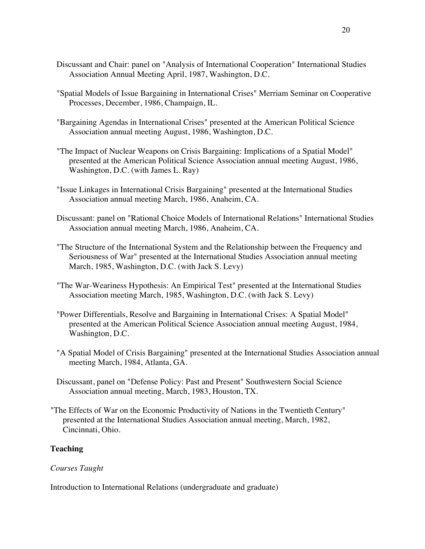- Discussant and Chair: panel on "Analysis of International Cooperation" International Studies Association Annual Meeting April, 1987, Washington, D.C.
- "Spatial Models of Issue Bargaining in International Crises" Merriam Seminar on Cooperative Processes, December, 1986, Champaign, IL.
- "Bargaining Agendas in International Crises" presented at the American Political Science Association annual meeting August, 1986, Washington, D.C.
- "The Impact of Nuclear Weapons on Crisis Bargaining: Implications of a Spatial Model" presented at the American Political Science Association annual meeting August, 1986, Washington, D.C. (with James L. Ray)
- "Issue Linkages in International Crisis Bargaining" presented at the International Studies Association annual meeting March, 1986, Anaheim, CA.
- Discussant: panel on "Rational Choice Models of International Relations" International Studies Association annual meeting March, 1986, Anaheim, CA.
- "The Structure of the International System and the Relationship between the Frequency and Seriousness of War" presented at the International Studies Association annual meeting March, 1985, Washington, D.C. (with Jack S. Levy)
- "The War-Weariness Hypothesis: An Empirical Test" presented at the International Studies Association meeting March, 1985, Washington, D.C. (with Jack S. Levy)
- "Power Differentials, Resolve and Bargaining in International Crises: A Spatial Model" presented at the American Political Science Association annual meeting August, 1984, Washington, D.C.
- "A Spatial Model of Crisis Bargaining" presented at the International Studies Association annual meeting March, 1984, Atlanta, GA.
- Discussant, panel on "Defense Policy: Past and Present" Southwestern Social Science Association annual meeting, March, 1983, Houston, TX.
- "The Effects of War on the Economic Productivity of Nations in the Twentieth Century" presented at the International Studies Association annual meeting, March, 1982, Cincinnati, Ohio.

# **Teaching**

# *Courses Taught*

Introduction to International Relations (undergraduate and graduate)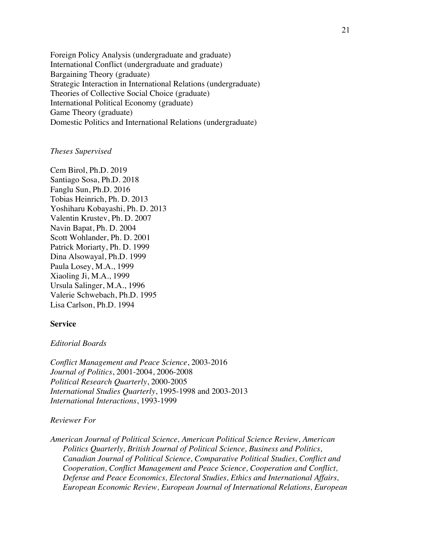Foreign Policy Analysis (undergraduate and graduate) International Conflict (undergraduate and graduate) Bargaining Theory (graduate) Strategic Interaction in International Relations (undergraduate) Theories of Collective Social Choice (graduate) International Political Economy (graduate) Game Theory (graduate) Domestic Politics and International Relations (undergraduate)

#### *Theses Supervised*

 Navin Bapat, Ph. D. 2004 Cem Birol, Ph.D. 2019 Santiago Sosa, Ph.D. 2018 Fanglu Sun, Ph.D. 2016 Tobias Heinrich, Ph. D. 2013 Yoshiharu Kobayashi, Ph. D. 2013 Valentin Krustev, Ph. D. 2007 Scott Wohlander, Ph. D. 2001 Patrick Moriarty, Ph. D. 1999 Dina Alsowayal, Ph.D. 1999 Paula Losey, M.A., 1999 Xiaoling Ji, M.A., 1999 Ursula Salinger, M.A., 1996 Valerie Schwebach, Ph.D. 1995 Lisa Carlson, Ph.D. 1994

### **Service**

### *Editorial Boards*

*Conflict Management and Peace Science*, 2003-2016 *Journal of Politics*, 2001-2004, 2006-2008 *Political Research Quarterly*, 2000-2005 *International Studies Quarterly*, 1995-1998 and 2003-2013 *International Interactions*, 1993-1999

### *Reviewer For*

 *Politics Quarterly, British Journal of Political Science, Business and Politics, American Journal of Political Science, American Political Science Review, American Canadian Journal of Political Science, Comparative Political Studies, Conflict and Cooperation, Conflict Management and Peace Science, Cooperation and Conflict, Defense and Peace Economics, Electoral Studies, Ethics and International Affairs, European Economic Review, European Journal of International Relations, European*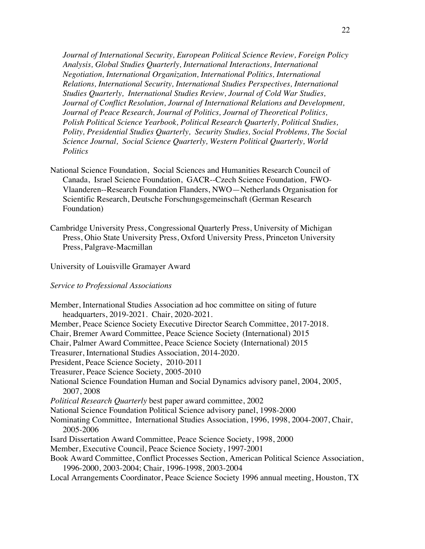*Polity, Presidential Studies Quarterly, Security Studies, Social Problems, The Social Journal of International Security, European Political Science Review, Foreign Policy Analysis, Global Studies Quarterly, International Interactions, International Negotiation, International Organization, International Politics, International Relations, International Security, International Studies Perspectives, International Studies Quarterly, International Studies Review, Journal of Cold War Studies, Journal of Conflict Resolution, Journal of International Relations and Development, Journal of Peace Research, Journal of Politics, Journal of Theoretical Politics, Polish Political Science Yearbook, Political Research Quarterly, Political Studies, Science Journal, Social Science Quarterly, Western Political Quarterly, World Politics* 

- National Science Foundation, Social Sciences and Humanities Research Council of Canada, Israel Science Foundation, GACR--Czech Science Foundation, FWO-Vlaanderen--Research Foundation Flanders, NWO—Netherlands Organisation for Scientific Research, Deutsche Forschungsgemeinschaft (German Research Foundation)
- Cambridge University Press, Congressional Quarterly Press, University of Michigan Press, Ohio State University Press, Oxford University Press, Princeton University Press, Palgrave-Macmillan

University of Louisville Gramayer Award

#### *Service to Professional Associations*

 headquarters, 2019-2021. Chair, 2020-2021. Chair, Bremer Award Committee, Peace Science Society (International) 2015 Member, International Studies Association ad hoc committee on siting of future Member, Peace Science Society Executive Director Search Committee, 2017-2018. Chair, Palmer Award Committee, Peace Science Society (International) 2015 Treasurer, International Studies Association, 2014-2020. President, Peace Science Society, 2010-2011 Treasurer, Peace Science Society, 2005-2010 National Science Foundation Human and Social Dynamics advisory panel, 2004, 2005, 2007, 2008 *Political Research Quarterly* best paper award committee, 2002 National Science Foundation Political Science advisory panel, 1998-2000 Nominating Committee, International Studies Association, 1996, 1998, 2004-2007, Chair, 2005-2006 Isard Dissertation Award Committee, Peace Science Society, 1998, 2000 Member, Executive Council, Peace Science Society, 1997-2001 Book Award Committee, Conflict Processes Section, American Political Science Association, 1996-2000, 2003-2004; Chair, 1996-1998, 2003-2004 Local Arrangements Coordinator, Peace Science Society 1996 annual meeting, Houston, TX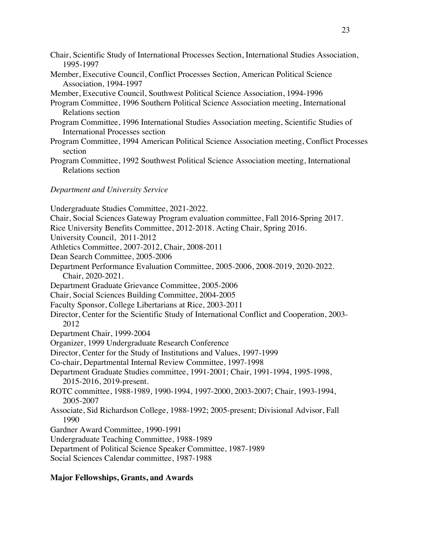- Chair, Scientific Study of International Processes Section, International Studies Association, 1995-1997
- Member, Executive Council, Conflict Processes Section, American Political Science Association, 1994-1997
- Member, Executive Council, Southwest Political Science Association, 1994-1996
- Program Committee, 1996 Southern Political Science Association meeting, International Relations section
- Program Committee, 1996 International Studies Association meeting, Scientific Studies of International Processes section
- Program Committee, 1994 American Political Science Association meeting, Conflict Processes section
- Program Committee, 1992 Southwest Political Science Association meeting, International Relations section

### *Department and University Service*

Undergraduate Studies Committee, 2021-2022. Chair, Social Sciences Gateway Program evaluation committee, Fall 2016-Spring 2017.

- Rice University Benefits Committee, 2012-2018. Acting Chair, Spring 2016.
- University Council, 2011-2012
- Athletics Committee, 2007-2012, Chair, 2008-2011
- Dean Search Committee, 2005-2006
- Department Performance Evaluation Committee, 2005-2006, 2008-2019, 2020-2022. Chair, 2020-2021.
- Department Graduate Grievance Committee, 2005-2006
- Chair, Social Sciences Building Committee, 2004-2005
- Faculty Sponsor, College Libertarians at Rice, 2003-2011
- Director, Center for the Scientific Study of International Conflict and Cooperation, 2003- 2012
- Department Chair, 1999-2004
- Organizer, 1999 Undergraduate Research Conference
- Director, Center for the Study of Institutions and Values, 1997-1999
- Co-chair, Departmental Internal Review Committee, 1997-1998
- Department Graduate Studies committee, 1991-2001; Chair, 1991-1994, 1995-1998, 2015-2016, 2019-present.
- ROTC committee, 1988-1989, 1990-1994, 1997-2000, 2003-2007; Chair, 1993-1994, 2005-2007
- Associate, Sid Richardson College, 1988-1992; 2005-present; Divisional Advisor, Fall 1990
- Gardner Award Committee, 1990-1991
- Undergraduate Teaching Committee, 1988-1989
- Department of Political Science Speaker Committee, 1987-1989
- Social Sciences Calendar committee, 1987-1988

### **Major Fellowships, Grants, and Awards**